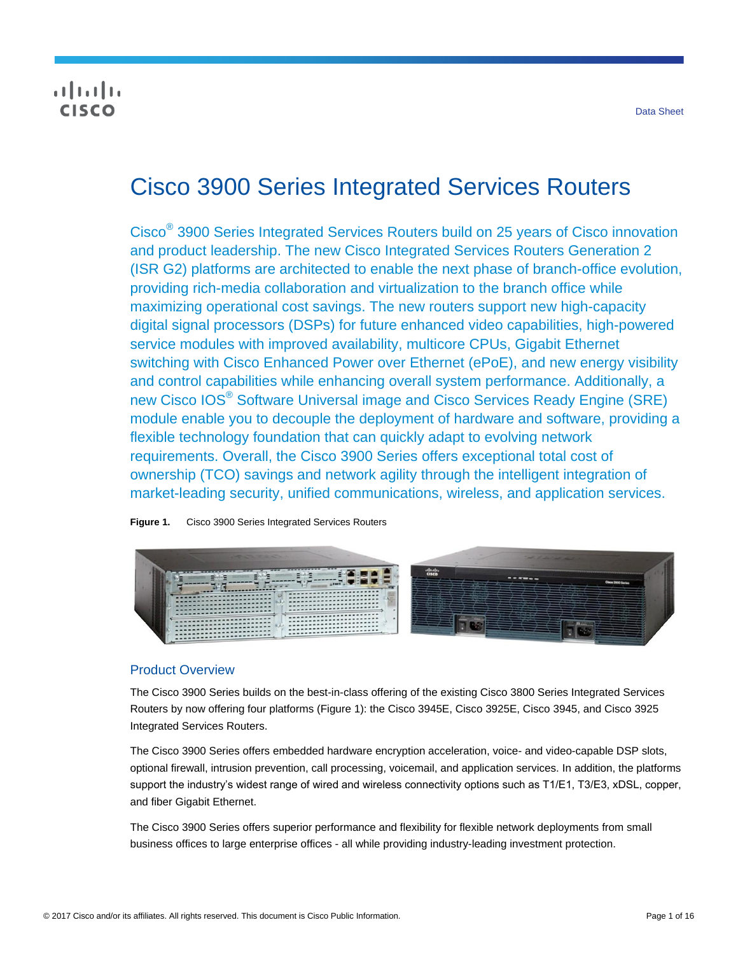## $\frac{1}{2}$ **CISCO**

# Cisco 3900 Series Integrated Services Routers

Cisco® 3900 Series Integrated Services Routers build on 25 years of Cisco innovation and product leadership. The new Cisco Integrated Services Routers Generation 2 (ISR G2) platforms are architected to enable the next phase of branch-office evolution, providing rich-media collaboration and virtualization to the branch office while maximizing operational cost savings. The new routers support new high-capacity digital signal processors (DSPs) for future enhanced video capabilities, high-powered service modules with improved availability, multicore CPUs, Gigabit Ethernet switching with Cisco Enhanced Power over Ethernet (ePoE), and new energy visibility and control capabilities while enhancing overall system performance. Additionally, a new Cisco IOS® Software Universal image and Cisco Services Ready Engine (SRE) module enable you to decouple the deployment of hardware and software, providing a flexible technology foundation that can quickly adapt to evolving network requirements. Overall, the Cisco 3900 Series offers exceptional total cost of ownership (TCO) savings and network agility through the intelligent integration of market-leading security, unified communications, wireless, and application services.





## Product Overview

The Cisco 3900 Series builds on the best-in-class offering of the existing Cisco 3800 Series Integrated Services Routers by now offering four platforms (Figure 1): the Cisco 3945E, Cisco 3925E, Cisco 3945, and Cisco 3925 Integrated Services Routers.

The Cisco 3900 Series offers embedded hardware encryption acceleration, voice- and video-capable DSP slots, optional firewall, intrusion prevention, call processing, voicemail, and application services. In addition, the platforms support the industry's widest range of wired and wireless connectivity options such as T1/E1, T3/E3, xDSL, copper, and fiber Gigabit Ethernet.

The Cisco 3900 Series offers superior performance and flexibility for flexible network deployments from small business offices to large enterprise offices - all while providing industry-leading investment protection.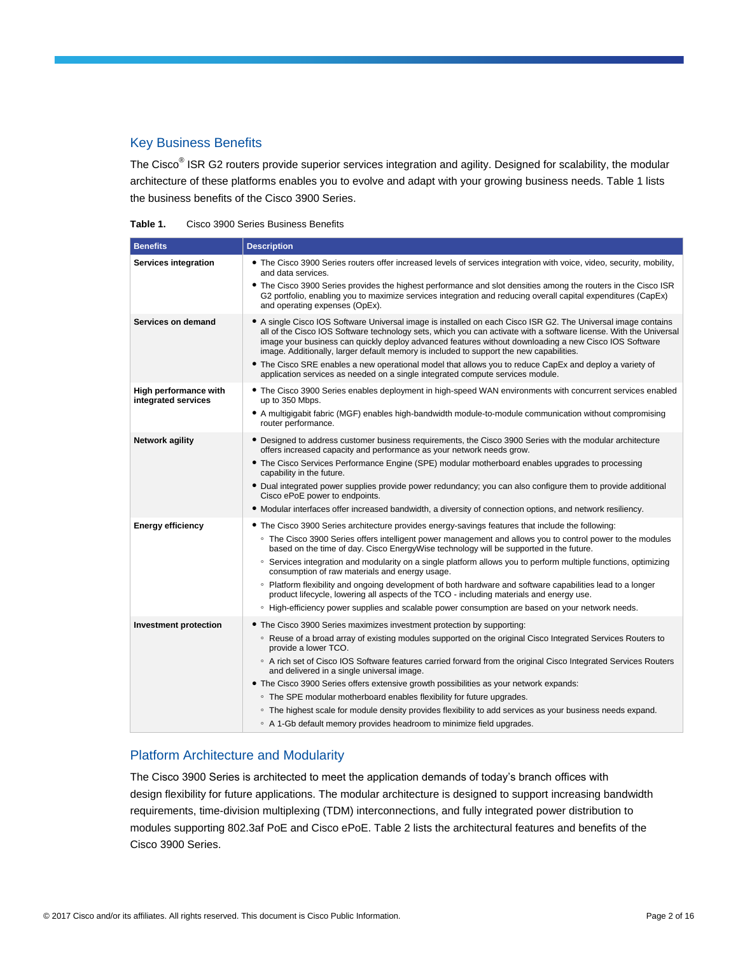## Key Business Benefits

The Cisco<sup>®</sup> ISR G2 routers provide superior services integration and agility. Designed for scalability, the modular architecture of these platforms enables you to evolve and adapt with your growing business needs. Table 1 lists the business benefits of the Cisco 3900 Series.

| Table 1. | Cisco 3900 Series Business Benefits |  |  |  |
|----------|-------------------------------------|--|--|--|
|----------|-------------------------------------|--|--|--|

| <b>Benefits</b>                              | <b>Description</b>                                                                                                                                                                                                                                                                                                                                                                                                                     |
|----------------------------------------------|----------------------------------------------------------------------------------------------------------------------------------------------------------------------------------------------------------------------------------------------------------------------------------------------------------------------------------------------------------------------------------------------------------------------------------------|
| Services integration                         | • The Cisco 3900 Series routers offer increased levels of services integration with voice, video, security, mobility,<br>and data services.                                                                                                                                                                                                                                                                                            |
|                                              | • The Cisco 3900 Series provides the highest performance and slot densities among the routers in the Cisco ISR<br>G2 portfolio, enabling you to maximize services integration and reducing overall capital expenditures (CapEx)<br>and operating expenses (OpEx).                                                                                                                                                                      |
| Services on demand                           | • A single Cisco IOS Software Universal image is installed on each Cisco ISR G2. The Universal image contains<br>all of the Cisco IOS Software technology sets, which you can activate with a software license. With the Universal<br>image your business can quickly deploy advanced features without downloading a new Cisco IOS Software<br>image. Additionally, larger default memory is included to support the new capabilities. |
|                                              | • The Cisco SRE enables a new operational model that allows you to reduce CapEx and deploy a variety of<br>application services as needed on a single integrated compute services module.                                                                                                                                                                                                                                              |
| High performance with<br>integrated services | • The Cisco 3900 Series enables deployment in high-speed WAN environments with concurrent services enabled<br>up to 350 Mbps.                                                                                                                                                                                                                                                                                                          |
|                                              | • A multigigabit fabric (MGF) enables high-bandwidth module-to-module communication without compromising<br>router performance.                                                                                                                                                                                                                                                                                                        |
| Network agility                              | • Designed to address customer business requirements, the Cisco 3900 Series with the modular architecture<br>offers increased capacity and performance as your network needs grow.                                                                                                                                                                                                                                                     |
|                                              | • The Cisco Services Performance Engine (SPE) modular motherboard enables upgrades to processing<br>capability in the future.                                                                                                                                                                                                                                                                                                          |
|                                              | • Dual integrated power supplies provide power redundancy; you can also configure them to provide additional<br>Cisco ePoE power to endpoints.                                                                                                                                                                                                                                                                                         |
|                                              | . Modular interfaces offer increased bandwidth, a diversity of connection options, and network resiliency.                                                                                                                                                                                                                                                                                                                             |
| <b>Energy efficiency</b>                     | • The Cisco 3900 Series architecture provides energy-savings features that include the following:                                                                                                                                                                                                                                                                                                                                      |
|                                              | • The Cisco 3900 Series offers intelligent power management and allows you to control power to the modules<br>based on the time of day. Cisco EnergyWise technology will be supported in the future.                                                                                                                                                                                                                                   |
|                                              | ○ Services integration and modularity on a single platform allows you to perform multiple functions, optimizing<br>consumption of raw materials and energy usage.                                                                                                                                                                                                                                                                      |
|                                              | ○ Platform flexibility and ongoing development of both hardware and software capabilities lead to a longer<br>product lifecycle, lowering all aspects of the TCO - including materials and energy use.                                                                                                                                                                                                                                 |
|                                              | ∘ High-efficiency power supplies and scalable power consumption are based on your network needs.                                                                                                                                                                                                                                                                                                                                       |
| <b>Investment protection</b>                 | • The Cisco 3900 Series maximizes investment protection by supporting:                                                                                                                                                                                                                                                                                                                                                                 |
|                                              | ○ Reuse of a broad array of existing modules supported on the original Cisco Integrated Services Routers to<br>provide a lower TCO.                                                                                                                                                                                                                                                                                                    |
|                                              | ○ A rich set of Cisco IOS Software features carried forward from the original Cisco Integrated Services Routers<br>and delivered in a single universal image.                                                                                                                                                                                                                                                                          |
|                                              | • The Cisco 3900 Series offers extensive growth possibilities as your network expands:                                                                                                                                                                                                                                                                                                                                                 |
|                                              | • The SPE modular motherboard enables flexibility for future upgrades.                                                                                                                                                                                                                                                                                                                                                                 |
|                                              | • The highest scale for module density provides flexibility to add services as your business needs expand.                                                                                                                                                                                                                                                                                                                             |
|                                              | • A 1-Gb default memory provides headroom to minimize field upgrades.                                                                                                                                                                                                                                                                                                                                                                  |

## Platform Architecture and Modularity

The Cisco 3900 Series is architected to meet the application demands of today's branch offices with design flexibility for future applications. The modular architecture is designed to support increasing bandwidth requirements, time-division multiplexing (TDM) interconnections, and fully integrated power distribution to modules supporting 802.3af PoE and Cisco ePoE. Table 2 lists the architectural features and benefits of the Cisco 3900 Series.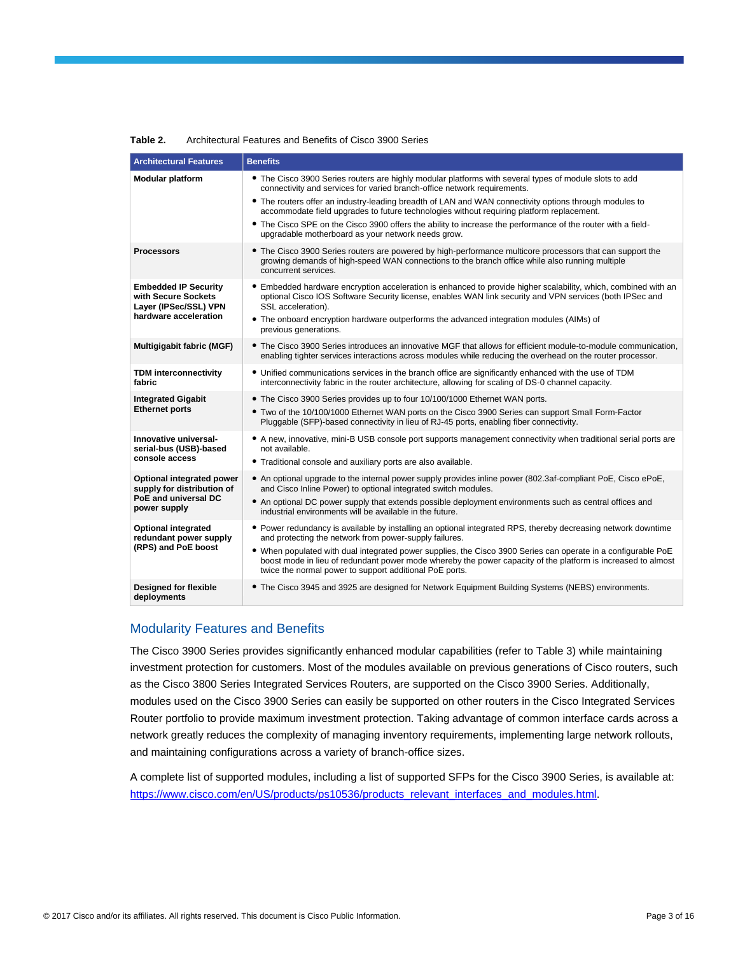| <b>Architectural Features</b>                                                                   | <b>Benefits</b>                                                                                                                                                                                                                                                                          |
|-------------------------------------------------------------------------------------------------|------------------------------------------------------------------------------------------------------------------------------------------------------------------------------------------------------------------------------------------------------------------------------------------|
| <b>Modular platform</b>                                                                         | • The Cisco 3900 Series routers are highly modular platforms with several types of module slots to add<br>connectivity and services for varied branch-office network requirements.                                                                                                       |
|                                                                                                 | • The routers offer an industry-leading breadth of LAN and WAN connectivity options through modules to<br>accommodate field upgrades to future technologies without requiring platform replacement.                                                                                      |
|                                                                                                 | • The Cisco SPE on the Cisco 3900 offers the ability to increase the performance of the router with a field-<br>upgradable motherboard as your network needs grow.                                                                                                                       |
| <b>Processors</b>                                                                               | • The Cisco 3900 Series routers are powered by high-performance multicore processors that can support the<br>growing demands of high-speed WAN connections to the branch office while also running multiple<br>concurrent services.                                                      |
| <b>Embedded IP Security</b><br>with Secure Sockets<br>Layer (IPSec/SSL) VPN                     | • Embedded hardware encryption acceleration is enhanced to provide higher scalability, which, combined with an<br>optional Cisco IOS Software Security license, enables WAN link security and VPN services (both IPSec and<br>SSL acceleration).                                         |
| hardware acceleration                                                                           | • The onboard encryption hardware outperforms the advanced integration modules (AIMs) of<br>previous generations.                                                                                                                                                                        |
| Multigigabit fabric (MGF)                                                                       | • The Cisco 3900 Series introduces an innovative MGF that allows for efficient module-to-module communication,<br>enabling tighter services interactions across modules while reducing the overhead on the router processor.                                                             |
| <b>TDM interconnectivity</b><br>fabric                                                          | • Unified communications services in the branch office are significantly enhanced with the use of TDM<br>interconnectivity fabric in the router architecture, allowing for scaling of DS-0 channel capacity.                                                                             |
| <b>Integrated Gigabit</b>                                                                       | • The Cisco 3900 Series provides up to four 10/100/1000 Ethernet WAN ports.                                                                                                                                                                                                              |
| <b>Ethernet ports</b>                                                                           | • Two of the 10/100/1000 Ethernet WAN ports on the Cisco 3900 Series can support Small Form-Factor<br>Pluggable (SFP)-based connectivity in lieu of RJ-45 ports, enabling fiber connectivity.                                                                                            |
| Innovative universal-<br>serial-bus (USB)-based                                                 | • A new, innovative, mini-B USB console port supports management connectivity when traditional serial ports are<br>not available.                                                                                                                                                        |
| console access                                                                                  | • Traditional console and auxiliary ports are also available.                                                                                                                                                                                                                            |
| Optional integrated power<br>supply for distribution of<br>PoE and universal DC<br>power supply | • An optional upgrade to the internal power supply provides inline power (802.3af-compliant PoE, Cisco ePoE,<br>and Cisco Inline Power) to optional integrated switch modules.                                                                                                           |
|                                                                                                 | • An optional DC power supply that extends possible deployment environments such as central offices and<br>industrial environments will be available in the future.                                                                                                                      |
| <b>Optional integrated</b><br>redundant power supply<br>(RPS) and PoE boost                     | • Power redundancy is available by installing an optional integrated RPS, thereby decreasing network downtime<br>and protecting the network from power-supply failures.                                                                                                                  |
|                                                                                                 | • When populated with dual integrated power supplies, the Cisco 3900 Series can operate in a configurable PoE<br>boost mode in lieu of redundant power mode whereby the power capacity of the platform is increased to almost<br>twice the normal power to support additional PoE ports. |
| Designed for flexible<br>deployments                                                            | • The Cisco 3945 and 3925 are designed for Network Equipment Building Systems (NEBS) environments.                                                                                                                                                                                       |

#### **Table 2.** Architectural Features and Benefits of Cisco 3900 Series

## Modularity Features and Benefits

The Cisco 3900 Series provides significantly enhanced modular capabilities (refer to Table 3) while maintaining investment protection for customers. Most of the modules available on previous generations of Cisco routers, such as the Cisco 3800 Series Integrated Services Routers, are supported on the Cisco 3900 Series. Additionally, modules used on the Cisco 3900 Series can easily be supported on other routers in the Cisco Integrated Services Router portfolio to provide maximum investment protection. Taking advantage of common interface cards across a network greatly reduces the complexity of managing inventory requirements, implementing large network rollouts, and maintaining configurations across a variety of branch-office sizes.

A complete list of supported modules, including a list of supported SFPs for the Cisco 3900 Series, is available at: [https://www.cisco.com/en/US/products/ps10536/products\\_relevant\\_interfaces\\_and\\_modules.html.](https://www.cisco.com/en/US/products/ps10536/products_relevant_interfaces_and_modules.html)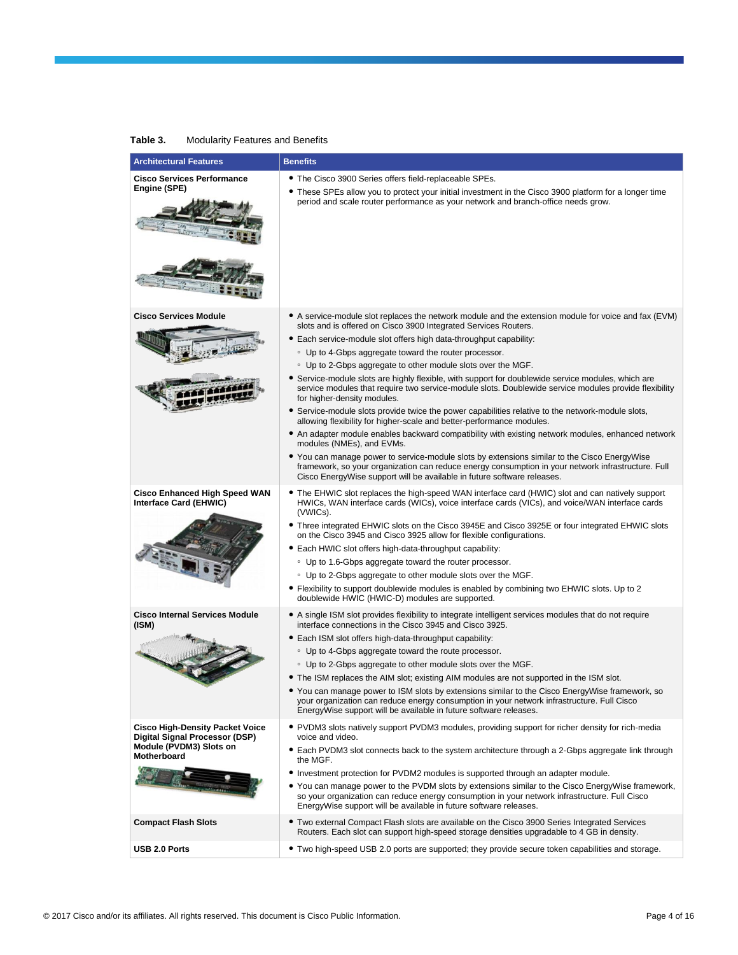| <b>Architectural Features</b>                                                                                                                                                                                                                                                                                                                              | <b>Benefits</b>                                                                                                                                                                                                                                                                                                                                                                                                                                                                                                                                                                                                                                                                                                                                                                                                                                                                                                                                                                                                                                                                                                                                                                                                        |
|------------------------------------------------------------------------------------------------------------------------------------------------------------------------------------------------------------------------------------------------------------------------------------------------------------------------------------------------------------|------------------------------------------------------------------------------------------------------------------------------------------------------------------------------------------------------------------------------------------------------------------------------------------------------------------------------------------------------------------------------------------------------------------------------------------------------------------------------------------------------------------------------------------------------------------------------------------------------------------------------------------------------------------------------------------------------------------------------------------------------------------------------------------------------------------------------------------------------------------------------------------------------------------------------------------------------------------------------------------------------------------------------------------------------------------------------------------------------------------------------------------------------------------------------------------------------------------------|
| <b>Cisco Services Performance</b><br>Engine (SPE)                                                                                                                                                                                                                                                                                                          | • The Cisco 3900 Series offers field-replaceable SPEs.<br>• These SPEs allow you to protect your initial investment in the Cisco 3900 platform for a longer time<br>period and scale router performance as your network and branch-office needs grow.                                                                                                                                                                                                                                                                                                                                                                                                                                                                                                                                                                                                                                                                                                                                                                                                                                                                                                                                                                  |
| <b>Cisco Services Module</b>                                                                                                                                                                                                                                                                                                                               | • A service-module slot replaces the network module and the extension module for voice and fax (EVM)<br>slots and is offered on Cisco 3900 Integrated Services Routers.<br>• Each service-module slot offers high data-throughput capability:<br>• Up to 4-Gbps aggregate toward the router processor.<br>• Up to 2-Gbps aggregate to other module slots over the MGF.<br>• Service-module slots are highly flexible, with support for doublewide service modules, which are<br>service modules that require two service-module slots. Doublewide service modules provide flexibility<br>for higher-density modules.<br>• Service-module slots provide twice the power capabilities relative to the network-module slots,<br>allowing flexibility for higher-scale and better-performance modules.<br>• An adapter module enables backward compatibility with existing network modules, enhanced network<br>modules (NMEs), and EVMs.<br>• You can manage power to service-module slots by extensions similar to the Cisco EnergyWise<br>framework, so your organization can reduce energy consumption in your network infrastructure. Full<br>Cisco EnergyWise support will be available in future software releases. |
| <b>Cisco Enhanced High Speed WAN</b><br>Interface Card (EHWIC)                                                                                                                                                                                                                                                                                             | • The EHWIC slot replaces the high-speed WAN interface card (HWIC) slot and can natively support<br>HWICs, WAN interface cards (WICs), voice interface cards (VICs), and voice/WAN interface cards<br>(VWICs).<br>• Three integrated EHWIC slots on the Cisco 3945E and Cisco 3925E or four integrated EHWIC slots<br>on the Cisco 3945 and Cisco 3925 allow for flexible configurations.<br>• Each HWIC slot offers high-data-throughput capability:<br>• Up to 1.6-Gbps aggregate toward the router processor.<br>• Up to 2-Gbps aggregate to other module slots over the MGF.<br>• Flexibility to support doublewide modules is enabled by combining two EHWIC slots. Up to 2<br>doublewide HWIC (HWIC-D) modules are supported.                                                                                                                                                                                                                                                                                                                                                                                                                                                                                    |
| <b>Cisco Internal Services Module</b><br>(ISM)                                                                                                                                                                                                                                                                                                             | • A single ISM slot provides flexibility to integrate intelligent services modules that do not require<br>interface connections in the Cisco 3945 and Cisco 3925.<br>• Each ISM slot offers high-data-throughput capability:<br>• Up to 4-Gbps aggregate toward the route processor.<br>• Up to 2-Gbps aggregate to other module slots over the MGF.<br>• The ISM replaces the AIM slot; existing AIM modules are not supported in the ISM slot.<br>● You can manage power to ISM slots by extensions similar to the Cisco EnergyWise framework, so<br>your organization can reduce energy consumption in your network infrastructure. Full Cisco<br>EnergyWise support will be available in future software releases.                                                                                                                                                                                                                                                                                                                                                                                                                                                                                                 |
| <b>Cisco High-Density Packet Voice</b><br>Digital Signal Processor (DSP)<br>Module (PVDM3) Slots on<br>Motherboard<br><b>The Committee of the Committee of the Committee of the Committee of the Committee of the Committee of the Committee of the Committee of the Committee of the Committee of the Committee of the Committee of the Committee of </b> | • PVDM3 slots natively support PVDM3 modules, providing support for richer density for rich-media<br>voice and video.<br>• Each PVDM3 slot connects back to the system architecture through a 2-Gbps aggregate link through<br>the MGF.<br>• Investment protection for PVDM2 modules is supported through an adapter module.<br>• You can manage power to the PVDM slots by extensions similar to the Cisco EnergyWise framework,<br>so your organization can reduce energy consumption in your network infrastructure. Full Cisco<br>EnergyWise support will be available in future software releases.                                                                                                                                                                                                                                                                                                                                                                                                                                                                                                                                                                                                                |
| <b>Compact Flash Slots</b>                                                                                                                                                                                                                                                                                                                                 | • Two external Compact Flash slots are available on the Cisco 3900 Series Integrated Services<br>Routers. Each slot can support high-speed storage densities upgradable to 4 GB in density.                                                                                                                                                                                                                                                                                                                                                                                                                                                                                                                                                                                                                                                                                                                                                                                                                                                                                                                                                                                                                            |
| <b>USB 2.0 Ports</b>                                                                                                                                                                                                                                                                                                                                       | • Two high-speed USB 2.0 ports are supported; they provide secure token capabilities and storage.                                                                                                                                                                                                                                                                                                                                                                                                                                                                                                                                                                                                                                                                                                                                                                                                                                                                                                                                                                                                                                                                                                                      |

#### **Table 3.** Modularity Features and Benefits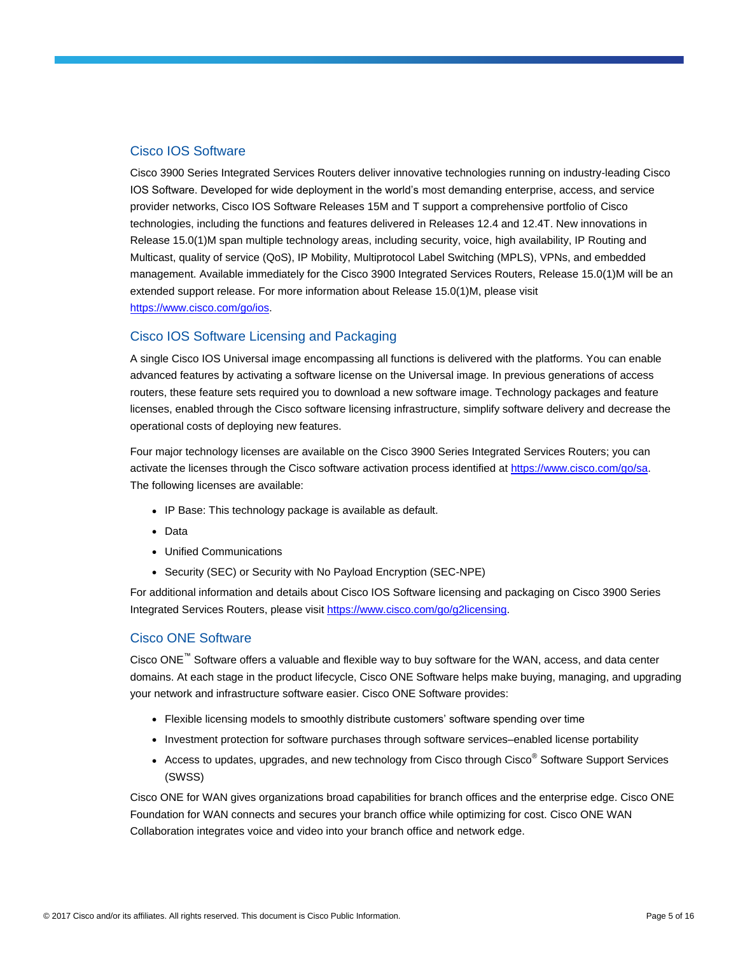## Cisco IOS Software

Cisco 3900 Series Integrated Services Routers deliver innovative technologies running on industry-leading Cisco IOS Software. Developed for wide deployment in the world's most demanding enterprise, access, and service provider networks, Cisco IOS Software Releases 15M and T support a comprehensive portfolio of Cisco technologies, including the functions and features delivered in Releases 12.4 and 12.4T. New innovations in Release 15.0(1)M span multiple technology areas, including security, voice, high availability, IP Routing and Multicast, quality of service (QoS), IP Mobility, Multiprotocol Label Switching (MPLS), VPNs, and embedded management. Available immediately for the Cisco 3900 Integrated Services Routers, Release 15.0(1)M will be an extended support release. For more information about Release 15.0(1)M, please visit [https://www.cisco.com/go/ios.](https://www.cisco.com/go/ios)

## Cisco IOS Software Licensing and Packaging

A single Cisco IOS Universal image encompassing all functions is delivered with the platforms. You can enable advanced features by activating a software license on the Universal image. In previous generations of access routers, these feature sets required you to download a new software image. Technology packages and feature licenses, enabled through the Cisco software licensing infrastructure, simplify software delivery and decrease the operational costs of deploying new features.

Four major technology licenses are available on the Cisco 3900 Series Integrated Services Routers; you can activate the licenses through the Cisco software activation process identified at [https://www.cisco.com/go/sa.](https://www.cisco.com/go/sa) The following licenses are available:

- IP Base: This technology package is available as default.
- Data
- Unified Communications
- Security (SEC) or Security with No Payload Encryption (SEC-NPE)

For additional information and details about Cisco IOS Software licensing and packaging on Cisco 3900 Series Integrated Services Routers, please visi[t https://www.cisco.com/go/g2licensing.](https://www.cisco.com/go/g2licensing)

## Cisco ONE Software

Cisco ONE™ Software offers a valuable and flexible way to buy software for the WAN, access, and data center domains. At each stage in the product lifecycle, Cisco ONE Software helps make buying, managing, and upgrading your network and infrastructure software easier. Cisco ONE Software provides:

- Flexible licensing models to smoothly distribute customers' software spending over time
- Investment protection for software purchases through software services–enabled license portability
- Access to updates, upgrades, and new technology from Cisco through Cisco<sup>®</sup> Software Support Services (SWSS)

Cisco ONE for WAN gives organizations broad capabilities for branch offices and the enterprise edge. Cisco ONE Foundation for WAN connects and secures your branch office while optimizing for cost. Cisco ONE WAN Collaboration integrates voice and video into your branch office and network edge.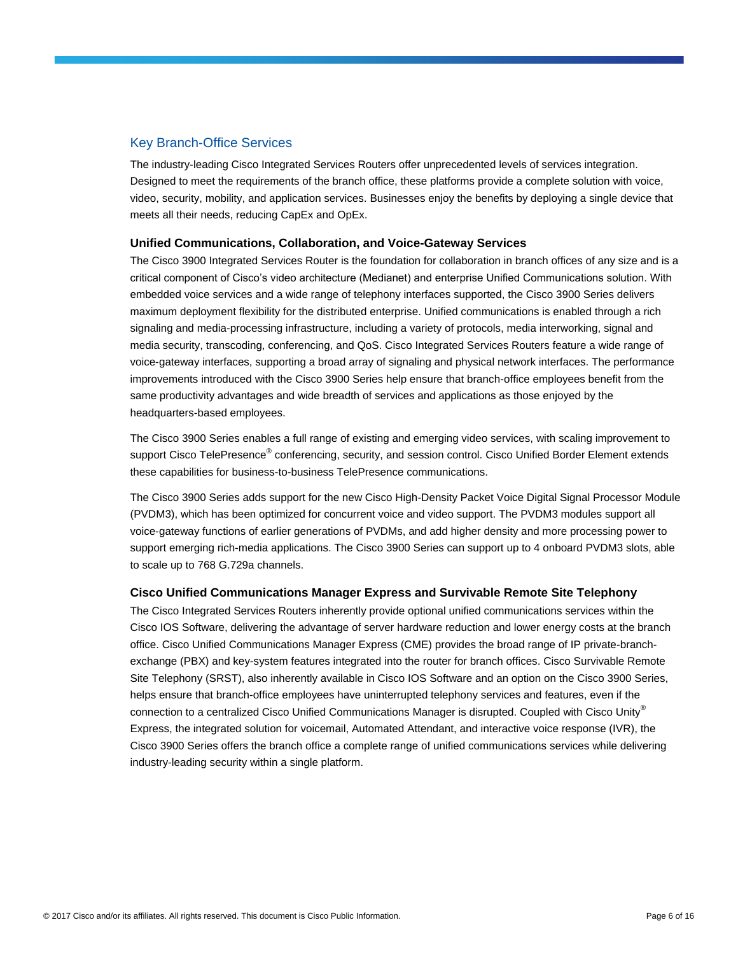## Key Branch-Office Services

The industry-leading Cisco Integrated Services Routers offer unprecedented levels of services integration. Designed to meet the requirements of the branch office, these platforms provide a complete solution with voice, video, security, mobility, and application services. Businesses enjoy the benefits by deploying a single device that meets all their needs, reducing CapEx and OpEx.

#### **Unified Communications, Collaboration, and Voice-Gateway Services**

The Cisco 3900 Integrated Services Router is the foundation for collaboration in branch offices of any size and is a critical component of Cisco's video architecture (Medianet) and enterprise Unified Communications solution. With embedded voice services and a wide range of telephony interfaces supported, the Cisco 3900 Series delivers maximum deployment flexibility for the distributed enterprise. Unified communications is enabled through a rich signaling and media-processing infrastructure, including a variety of protocols, media interworking, signal and media security, transcoding, conferencing, and QoS. Cisco Integrated Services Routers feature a wide range of voice-gateway interfaces, supporting a broad array of signaling and physical network interfaces. The performance improvements introduced with the Cisco 3900 Series help ensure that branch-office employees benefit from the same productivity advantages and wide breadth of services and applications as those enjoyed by the headquarters-based employees.

The Cisco 3900 Series enables a full range of existing and emerging video services, with scaling improvement to support Cisco TelePresence<sup>®</sup> conferencing, security, and session control. Cisco Unified Border Element extends these capabilities for business-to-business TelePresence communications.

The Cisco 3900 Series adds support for the new Cisco High-Density Packet Voice Digital Signal Processor Module (PVDM3), which has been optimized for concurrent voice and video support. The PVDM3 modules support all voice-gateway functions of earlier generations of PVDMs, and add higher density and more processing power to support emerging rich-media applications. The Cisco 3900 Series can support up to 4 onboard PVDM3 slots, able to scale up to 768 G.729a channels.

## **Cisco Unified Communications Manager Express and Survivable Remote Site Telephony**

The Cisco Integrated Services Routers inherently provide optional unified communications services within the Cisco IOS Software, delivering the advantage of server hardware reduction and lower energy costs at the branch office. Cisco Unified Communications Manager Express (CME) provides the broad range of IP private-branchexchange (PBX) and key-system features integrated into the router for branch offices. Cisco Survivable Remote Site Telephony (SRST), also inherently available in Cisco IOS Software and an option on the Cisco 3900 Series, helps ensure that branch-office employees have uninterrupted telephony services and features, even if the connection to a centralized Cisco Unified Communications Manager is disrupted. Coupled with Cisco Unity® Express, the integrated solution for voicemail, Automated Attendant, and interactive voice response (IVR), the Cisco 3900 Series offers the branch office a complete range of unified communications services while delivering industry-leading security within a single platform.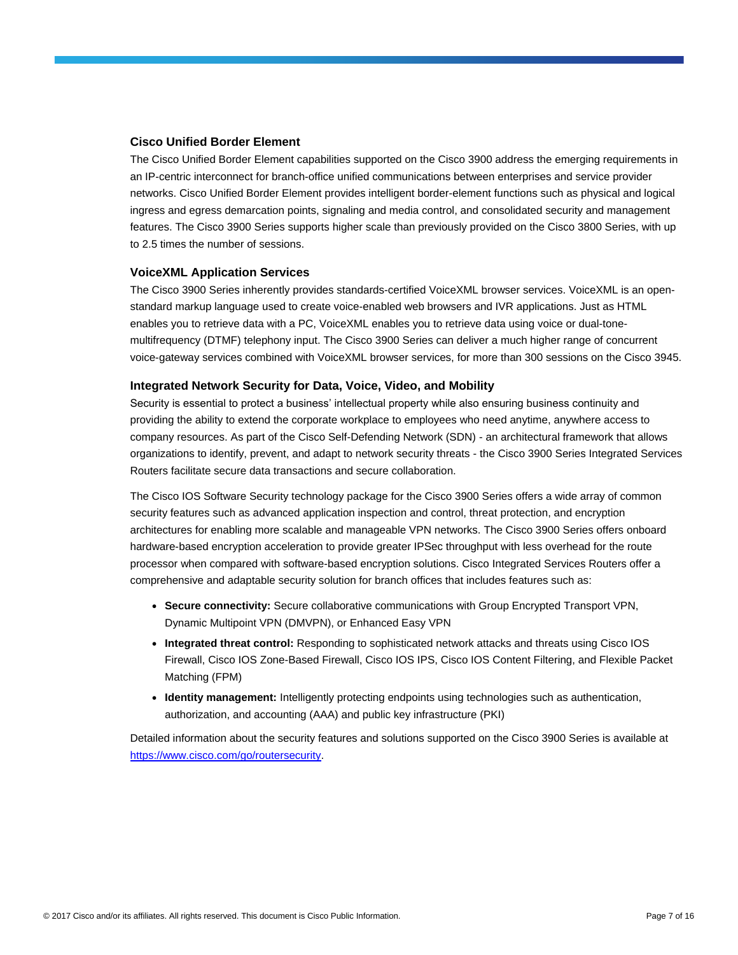#### **Cisco Unified Border Element**

The Cisco Unified Border Element capabilities supported on the Cisco 3900 address the emerging requirements in an IP-centric interconnect for branch-office unified communications between enterprises and service provider networks. Cisco Unified Border Element provides intelligent border-element functions such as physical and logical ingress and egress demarcation points, signaling and media control, and consolidated security and management features. The Cisco 3900 Series supports higher scale than previously provided on the Cisco 3800 Series, with up to 2.5 times the number of sessions.

#### **VoiceXML Application Services**

The Cisco 3900 Series inherently provides standards-certified VoiceXML browser services. VoiceXML is an openstandard markup language used to create voice-enabled web browsers and IVR applications. Just as HTML enables you to retrieve data with a PC, VoiceXML enables you to retrieve data using voice or dual-tonemultifrequency (DTMF) telephony input. The Cisco 3900 Series can deliver a much higher range of concurrent voice-gateway services combined with VoiceXML browser services, for more than 300 sessions on the Cisco 3945.

#### **Integrated Network Security for Data, Voice, Video, and Mobility**

Security is essential to protect a business' intellectual property while also ensuring business continuity and providing the ability to extend the corporate workplace to employees who need anytime, anywhere access to company resources. As part of the Cisco Self-Defending Network (SDN) - an architectural framework that allows organizations to identify, prevent, and adapt to network security threats - the Cisco 3900 Series Integrated Services Routers facilitate secure data transactions and secure collaboration.

The Cisco IOS Software Security technology package for the Cisco 3900 Series offers a wide array of common security features such as advanced application inspection and control, threat protection, and encryption architectures for enabling more scalable and manageable VPN networks. The Cisco 3900 Series offers onboard hardware-based encryption acceleration to provide greater IPSec throughput with less overhead for the route processor when compared with software-based encryption solutions. Cisco Integrated Services Routers offer a comprehensive and adaptable security solution for branch offices that includes features such as:

- **Secure connectivity:** Secure collaborative communications with Group Encrypted Transport VPN, Dynamic Multipoint VPN (DMVPN), or Enhanced Easy VPN
- **Integrated threat control:** Responding to sophisticated network attacks and threats using Cisco IOS Firewall, Cisco IOS Zone-Based Firewall, Cisco IOS IPS, Cisco IOS Content Filtering, and Flexible Packet Matching (FPM)
- **Identity management:** Intelligently protecting endpoints using technologies such as authentication, authorization, and accounting (AAA) and public key infrastructure (PKI)

Detailed information about the security features and solutions supported on the Cisco 3900 Series is available at [https://www.cisco.com/go/routersecurity.](https://www.cisco.com/go/routersecurity)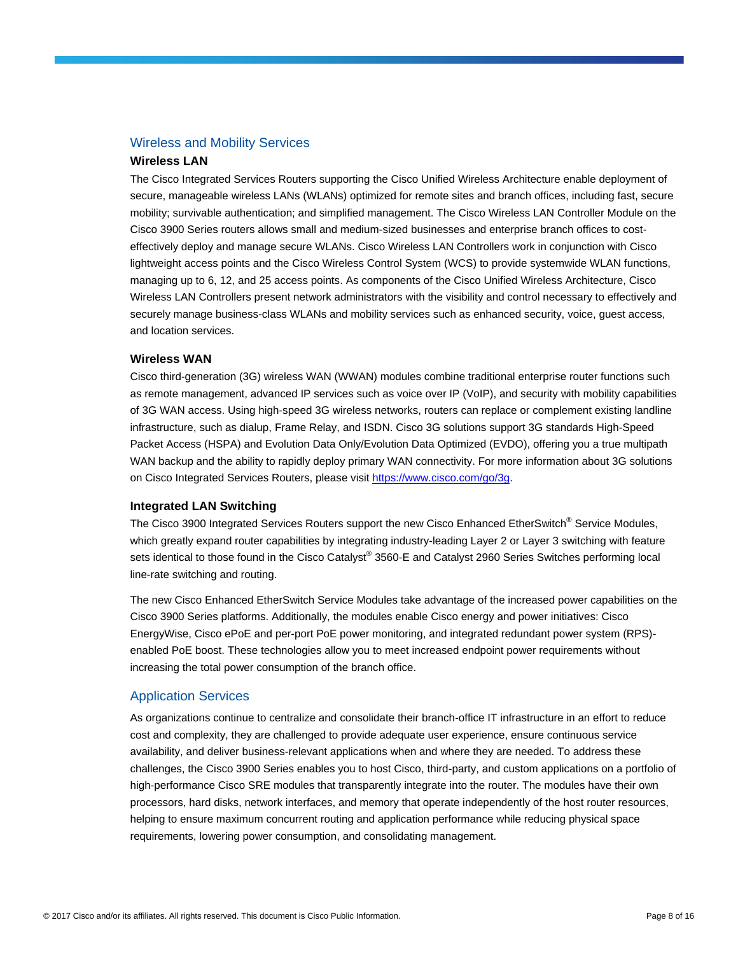### Wireless and Mobility Services

### **Wireless LAN**

The Cisco Integrated Services Routers supporting the Cisco Unified Wireless Architecture enable deployment of secure, manageable wireless LANs (WLANs) optimized for remote sites and branch offices, including fast, secure mobility; survivable authentication; and simplified management. The Cisco Wireless LAN Controller Module on the Cisco 3900 Series routers allows small and medium-sized businesses and enterprise branch offices to costeffectively deploy and manage secure WLANs. Cisco Wireless LAN Controllers work in conjunction with Cisco lightweight access points and the Cisco Wireless Control System (WCS) to provide systemwide WLAN functions, managing up to 6, 12, and 25 access points. As components of the Cisco Unified Wireless Architecture, Cisco Wireless LAN Controllers present network administrators with the visibility and control necessary to effectively and securely manage business-class WLANs and mobility services such as enhanced security, voice, guest access, and location services.

#### **Wireless WAN**

Cisco third-generation (3G) wireless WAN (WWAN) modules combine traditional enterprise router functions such as remote management, advanced IP services such as voice over IP (VoIP), and security with mobility capabilities of 3G WAN access. Using high-speed 3G wireless networks, routers can replace or complement existing landline infrastructure, such as dialup, Frame Relay, and ISDN. Cisco 3G solutions support 3G standards High-Speed Packet Access (HSPA) and Evolution Data Only/Evolution Data Optimized (EVDO), offering you a true multipath WAN backup and the ability to rapidly deploy primary WAN connectivity. For more information about 3G solutions on Cisco Integrated Services Routers, please visit [https://www.cisco.com/go/3g.](https://www.cisco.com/go/3g)

#### **Integrated LAN Switching**

The Cisco 3900 Integrated Services Routers support the new Cisco Enhanced EtherSwitch® Service Modules. which greatly expand router capabilities by integrating industry-leading Layer 2 or Layer 3 switching with feature sets identical to those found in the Cisco Catalyst® 3560-E and Catalyst 2960 Series Switches performing local line-rate switching and routing.

The new Cisco Enhanced EtherSwitch Service Modules take advantage of the increased power capabilities on the Cisco 3900 Series platforms. Additionally, the modules enable Cisco energy and power initiatives: Cisco EnergyWise, Cisco ePoE and per-port PoE power monitoring, and integrated redundant power system (RPS) enabled PoE boost. These technologies allow you to meet increased endpoint power requirements without increasing the total power consumption of the branch office.

#### Application Services

As organizations continue to centralize and consolidate their branch-office IT infrastructure in an effort to reduce cost and complexity, they are challenged to provide adequate user experience, ensure continuous service availability, and deliver business-relevant applications when and where they are needed. To address these challenges, the Cisco 3900 Series enables you to host Cisco, third-party, and custom applications on a portfolio of high-performance Cisco SRE modules that transparently integrate into the router. The modules have their own processors, hard disks, network interfaces, and memory that operate independently of the host router resources, helping to ensure maximum concurrent routing and application performance while reducing physical space requirements, lowering power consumption, and consolidating management.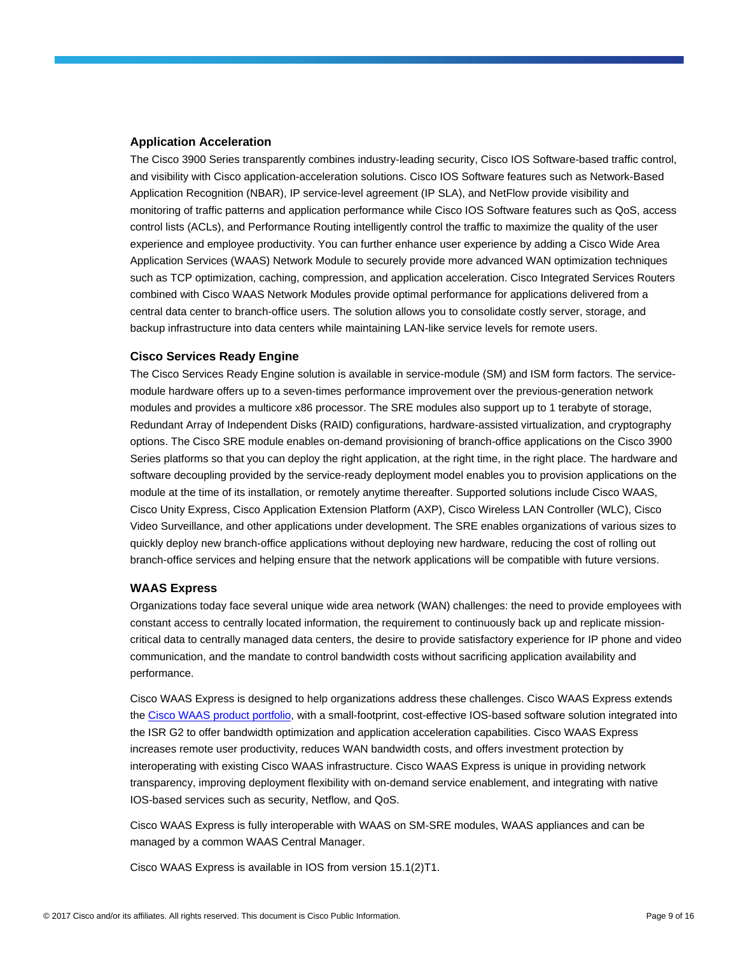#### **Application Acceleration**

The Cisco 3900 Series transparently combines industry-leading security, Cisco IOS Software-based traffic control, and visibility with Cisco application-acceleration solutions. Cisco IOS Software features such as Network-Based Application Recognition (NBAR), IP service-level agreement (IP SLA), and NetFlow provide visibility and monitoring of traffic patterns and application performance while Cisco IOS Software features such as QoS, access control lists (ACLs), and Performance Routing intelligently control the traffic to maximize the quality of the user experience and employee productivity. You can further enhance user experience by adding a Cisco Wide Area Application Services (WAAS) Network Module to securely provide more advanced WAN optimization techniques such as TCP optimization, caching, compression, and application acceleration. Cisco Integrated Services Routers combined with Cisco WAAS Network Modules provide optimal performance for applications delivered from a central data center to branch-office users. The solution allows you to consolidate costly server, storage, and backup infrastructure into data centers while maintaining LAN-like service levels for remote users.

#### **Cisco Services Ready Engine**

The Cisco Services Ready Engine solution is available in service-module (SM) and ISM form factors. The servicemodule hardware offers up to a seven-times performance improvement over the previous-generation network modules and provides a multicore x86 processor. The SRE modules also support up to 1 terabyte of storage, Redundant Array of Independent Disks (RAID) configurations, hardware-assisted virtualization, and cryptography options. The Cisco SRE module enables on-demand provisioning of branch-office applications on the Cisco 3900 Series platforms so that you can deploy the right application, at the right time, in the right place. The hardware and software decoupling provided by the service-ready deployment model enables you to provision applications on the module at the time of its installation, or remotely anytime thereafter. Supported solutions include Cisco WAAS, Cisco Unity Express, Cisco Application Extension Platform (AXP), Cisco Wireless LAN Controller (WLC), Cisco Video Surveillance, and other applications under development. The SRE enables organizations of various sizes to quickly deploy new branch-office applications without deploying new hardware, reducing the cost of rolling out branch-office services and helping ensure that the network applications will be compatible with future versions.

#### **WAAS Express**

Organizations today face several unique wide area network (WAN) challenges: the need to provide employees with constant access to centrally located information, the requirement to continuously back up and replicate missioncritical data to centrally managed data centers, the desire to provide satisfactory experience for IP phone and video communication, and the mandate to control bandwidth costs without sacrificing application availability and performance.

Cisco WAAS Express is designed to help organizations address these challenges. Cisco WAAS Express extends the [Cisco WAAS product portfolio,](https://www.cisco.com/en/US/products/ps5680/Products_Sub_Category_Home.html) with a small-footprint, cost-effective IOS-based software solution integrated into the ISR G2 to offer bandwidth optimization and application acceleration capabilities. Cisco WAAS Express increases remote user productivity, reduces WAN bandwidth costs, and offers investment protection by interoperating with existing Cisco WAAS infrastructure. Cisco WAAS Express is unique in providing network transparency, improving deployment flexibility with on-demand service enablement, and integrating with native IOS-based services such as security, Netflow, and QoS.

Cisco WAAS Express is fully interoperable with WAAS on SM-SRE modules, WAAS appliances and can be managed by a common WAAS Central Manager.

Cisco WAAS Express is available in IOS from version 15.1(2)T1.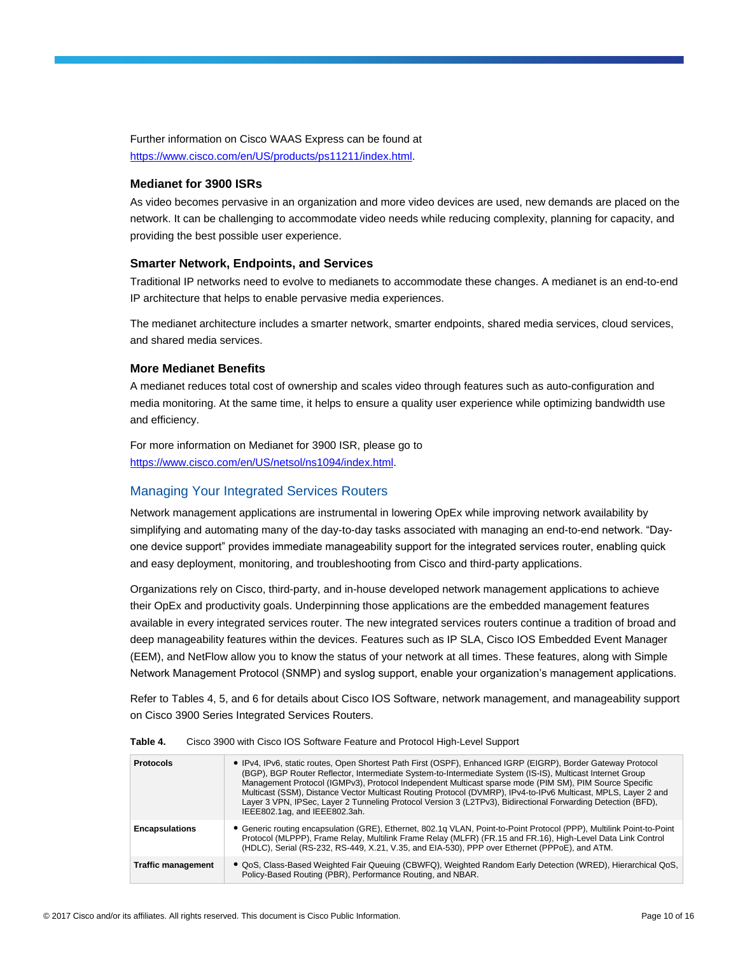Further information on Cisco WAAS Express can be found at [https://www.cisco.com/en/US/products/ps11211/index.html.](https://www.cisco.com/en/US/products/ps11211/index.html)

#### **Medianet for 3900 ISRs**

As video becomes pervasive in an organization and more video devices are used, new demands are placed on the network. It can be challenging to accommodate video needs while reducing complexity, planning for capacity, and providing the best possible user experience.

#### **Smarter Network, Endpoints, and Services**

Traditional IP networks need to evolve to medianets to accommodate these changes. A medianet is an end-to-end IP architecture that helps to enable pervasive media experiences.

The medianet architecture includes a smarter network, smarter endpoints, shared media services, cloud services, and shared media services.

#### **More Medianet Benefits**

A medianet reduces total cost of ownership and scales video through features such as auto-configuration and media monitoring. At the same time, it helps to ensure a quality user experience while optimizing bandwidth use and efficiency.

For more information on Medianet for 3900 ISR, please go to [https://www.cisco.com/en/US/netsol/ns1094/index.html.](https://www.cisco.com/en/US/netsol/ns1094/index.html)

## Managing Your Integrated Services Routers

Network management applications are instrumental in lowering OpEx while improving network availability by simplifying and automating many of the day-to-day tasks associated with managing an end-to-end network. "Dayone device support" provides immediate manageability support for the integrated services router, enabling quick and easy deployment, monitoring, and troubleshooting from Cisco and third-party applications.

Organizations rely on Cisco, third-party, and in-house developed network management applications to achieve their OpEx and productivity goals. Underpinning those applications are the embedded management features available in every integrated services router. The new integrated services routers continue a tradition of broad and deep manageability features within the devices. Features such as IP SLA, Cisco IOS Embedded Event Manager (EEM), and NetFlow allow you to know the status of your network at all times. These features, along with Simple Network Management Protocol (SNMP) and syslog support, enable your organization's management applications.

Refer to Tables 4, 5, and 6 for details about Cisco IOS Software, network management, and manageability support on Cisco 3900 Series Integrated Services Routers.

| <b>Protocols</b>          | • IPv4, IPv6, static routes, Open Shortest Path First (OSPF), Enhanced IGRP (EIGRP), Border Gateway Protocol<br>(BGP), BGP Router Reflector, Intermediate System-to-Intermediate System (IS-IS), Multicast Internet Group<br>Management Protocol (IGMPv3), Protocol Independent Multicast sparse mode (PIM SM), PIM Source Specific<br>Multicast (SSM), Distance Vector Multicast Routing Protocol (DVMRP), IPv4-to-IPv6 Multicast, MPLS, Layer 2 and<br>Laver 3 VPN, IPSec, Laver 2 Tunneling Protocol Version 3 (L2TPv3), Bidirectional Forwarding Detection (BFD),<br>IEEE802.1ag, and IEEE802.3ah. |
|---------------------------|--------------------------------------------------------------------------------------------------------------------------------------------------------------------------------------------------------------------------------------------------------------------------------------------------------------------------------------------------------------------------------------------------------------------------------------------------------------------------------------------------------------------------------------------------------------------------------------------------------|
| <b>Encapsulations</b>     | • Generic routing encapsulation (GRE), Ethernet, 802.1g VLAN, Point-to-Point Protocol (PPP), Multilink Point-to-Point<br>Protocol (MLPPP), Frame Relay, Multilink Frame Relay (MLFR) (FR.15 and FR.16), High-Level Data Link Control<br>(HDLC), Serial (RS-232, RS-449, X.21, V.35, and EIA-530), PPP over Ethernet (PPPoE), and ATM.                                                                                                                                                                                                                                                                  |
| <b>Traffic management</b> | . QoS, Class-Based Weighted Fair Queuing (CBWFQ), Weighted Random Early Detection (WRED), Hierarchical QoS,<br>Policy-Based Routing (PBR), Performance Routing, and NBAR.                                                                                                                                                                                                                                                                                                                                                                                                                              |

**Table 4.** Cisco 3900 with Cisco IOS Software Feature and Protocol High-Level Support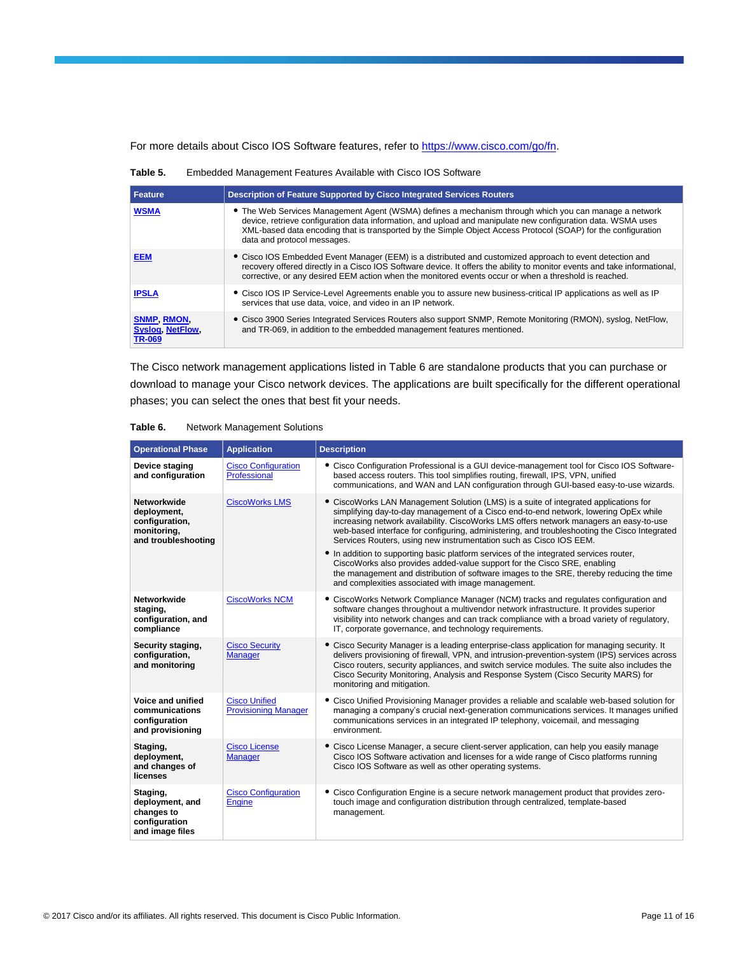For more details about Cisco IOS Software features, refer to [https://www.cisco.com/go/fn.](https://www.cisco.com/go/fn)

**Table 5.** Embedded Management Features Available with Cisco IOS Software

| Feature                                                      | <b>Description of Feature Supported by Cisco Integrated Services Routers</b>                                                                                                                                                                                                                                                                                          |
|--------------------------------------------------------------|-----------------------------------------------------------------------------------------------------------------------------------------------------------------------------------------------------------------------------------------------------------------------------------------------------------------------------------------------------------------------|
| <b>WSMA</b>                                                  | • The Web Services Management Agent (WSMA) defines a mechanism through which you can manage a network<br>device, retrieve configuration data information, and upload and manipulate new configuration data. WSMA uses<br>XML-based data encoding that is transported by the Simple Object Access Protocol (SOAP) for the configuration<br>data and protocol messages. |
| <b>EEM</b>                                                   | • Cisco IOS Embedded Event Manager (EEM) is a distributed and customized approach to event detection and<br>recovery offered directly in a Cisco IOS Software device. It offers the ability to monitor events and take informational,<br>corrective, or any desired EEM action when the monitored events occur or when a threshold is reached.                        |
| <b>IPSLA</b>                                                 | • Cisco IOS IP Service-Level Agreements enable you to assure new business-critical IP applications as well as IP<br>services that use data, voice, and video in an IP network.                                                                                                                                                                                        |
| <b>SNMP RMON</b><br><b>Syslog, NetFlow,</b><br><b>TR-069</b> | • Cisco 3900 Series Integrated Services Routers also support SNMP, Remote Monitoring (RMON), syslog, NetFlow,<br>and TR-069, in addition to the embedded management features mentioned.                                                                                                                                                                               |

The Cisco network management applications listed in Table 6 are standalone products that you can purchase or download to manage your Cisco network devices. The applications are built specifically for the different operational phases; you can select the ones that best fit your needs.

|  | Table 6. |  | <b>Network Management Solutions</b> |  |
|--|----------|--|-------------------------------------|--|
|--|----------|--|-------------------------------------|--|

| <b>Operational Phase</b>                                                           | <b>Application</b>                                  | <b>Description</b>                                                                                                                                                                                                                                                                                                                                                                                                                                                                                                                     |
|------------------------------------------------------------------------------------|-----------------------------------------------------|----------------------------------------------------------------------------------------------------------------------------------------------------------------------------------------------------------------------------------------------------------------------------------------------------------------------------------------------------------------------------------------------------------------------------------------------------------------------------------------------------------------------------------------|
| Device staging<br>and configuration                                                | <b>Cisco Configuration</b><br>Professional          | • Cisco Configuration Professional is a GUI device-management tool for Cisco IOS Software-<br>based access routers. This tool simplifies routing, firewall, IPS, VPN, unified<br>communications, and WAN and LAN configuration through GUI-based easy-to-use wizards.                                                                                                                                                                                                                                                                  |
| Networkwide<br>deployment,<br>configuration,<br>monitoring,<br>and troubleshooting | <b>CiscoWorks LMS</b>                               | • CiscoWorks LAN Management Solution (LMS) is a suite of integrated applications for<br>simplifying day-to-day management of a Cisco end-to-end network, lowering OpEx while<br>increasing network availability. CiscoWorks LMS offers network managers an easy-to-use<br>web-based interface for configuring, administering, and troubleshooting the Cisco Integrated<br>Services Routers, using new instrumentation such as Cisco IOS EEM.<br>• In addition to supporting basic platform services of the integrated services router, |
|                                                                                    |                                                     | CiscoWorks also provides added-value support for the Cisco SRE, enabling<br>the management and distribution of software images to the SRE, thereby reducing the time<br>and complexities associated with image management.                                                                                                                                                                                                                                                                                                             |
| Networkwide<br>staging,<br>configuration, and<br>compliance                        | <b>CiscoWorks NCM</b>                               | • CiscoWorks Network Compliance Manager (NCM) tracks and regulates configuration and<br>software changes throughout a multivendor network infrastructure. It provides superior<br>visibility into network changes and can track compliance with a broad variety of requlatory,<br>IT, corporate governance, and technology requirements.                                                                                                                                                                                               |
| Security staging,<br>configuration,<br>and monitoring                              | <b>Cisco Security</b><br><b>Manager</b>             | • Cisco Security Manager is a leading enterprise-class application for managing security. It<br>delivers provisioning of firewall, VPN, and intrusion-prevention-system (IPS) services across<br>Cisco routers, security appliances, and switch service modules. The suite also includes the<br>Cisco Security Monitoring, Analysis and Response System (Cisco Security MARS) for<br>monitoring and mitigation.                                                                                                                        |
| Voice and unified<br>communications<br>configuration<br>and provisioning           | <b>Cisco Unified</b><br><b>Provisioning Manager</b> | • Cisco Unified Provisioning Manager provides a reliable and scalable web-based solution for<br>managing a company's crucial next-generation communications services. It manages unified<br>communications services in an integrated IP telephony, voicemail, and messaging<br>environment.                                                                                                                                                                                                                                            |
| Staging,<br>deployment,<br>and changes of<br>licenses                              | <b>Cisco License</b><br>Manager                     | • Cisco License Manager, a secure client-server application, can help you easily manage<br>Cisco IOS Software activation and licenses for a wide range of Cisco platforms running<br>Cisco IOS Software as well as other operating systems.                                                                                                                                                                                                                                                                                            |
| Staging,<br>deployment, and<br>changes to<br>configuration<br>and image files      | <b>Cisco Configuration</b><br>Engine                | • Cisco Configuration Engine is a secure network management product that provides zero-<br>touch image and configuration distribution through centralized, template-based<br>management.                                                                                                                                                                                                                                                                                                                                               |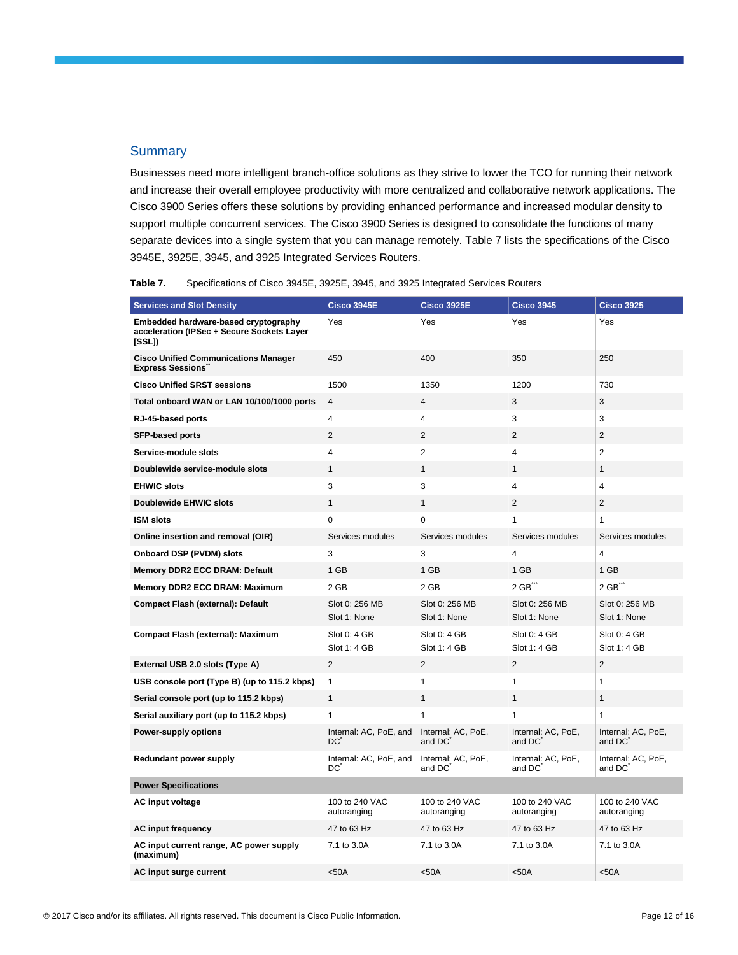#### **Summary**

Businesses need more intelligent branch-office solutions as they strive to lower the TCO for running their network and increase their overall employee productivity with more centralized and collaborative network applications. The Cisco 3900 Series offers these solutions by providing enhanced performance and increased modular density to support multiple concurrent services. The Cisco 3900 Series is designed to consolidate the functions of many separate devices into a single system that you can manage remotely. Table 7 lists the specifications of the Cisco 3945E, 3925E, 3945, and 3925 Integrated Services Routers.

**Table 7.** Specifications of Cisco 3945E, 3925E, 3945, and 3925 Integrated Services Routers

| <b>Services and Slot Density</b>                                                            | <b>Cisco 3945E</b>             | <b>Cisco 3925E</b>             | <b>Cisco 3945</b>              | <b>Cisco 3925</b>              |
|---------------------------------------------------------------------------------------------|--------------------------------|--------------------------------|--------------------------------|--------------------------------|
| Embedded hardware-based cryptography<br>acceleration (IPSec + Secure Sockets Layer<br>[SSL] | Yes                            | Yes                            | Yes                            | Yes                            |
| <b>Cisco Unified Communications Manager</b><br><b>Express Sessions</b>                      | 450                            | 400                            | 350                            | 250                            |
| <b>Cisco Unified SRST sessions</b>                                                          | 1500                           | 1350                           | 1200                           | 730                            |
| Total onboard WAN or LAN 10/100/1000 ports                                                  | 4                              | $\overline{4}$                 | 3                              | 3                              |
| RJ-45-based ports                                                                           | 4                              | 4                              | 3                              | 3                              |
| SFP-based ports                                                                             | $\overline{2}$                 | $\overline{2}$                 | 2                              | $\overline{2}$                 |
| Service-module slots                                                                        | 4                              | $\overline{2}$                 | $\overline{4}$                 | 2                              |
| Doublewide service-module slots                                                             | $\mathbf{1}$                   | $\mathbf{1}$                   | $\mathbf{1}$                   | $\mathbf{1}$                   |
| <b>EHWIC slots</b>                                                                          | 3                              | 3                              | $\overline{4}$                 | 4                              |
| <b>Doublewide EHWIC slots</b>                                                               | $\mathbf{1}$                   | $\mathbf{1}$                   | $\overline{2}$                 | $\overline{2}$                 |
| <b>ISM slots</b>                                                                            | $\overline{0}$                 | $\Omega$                       | $\mathbf{1}$                   | 1                              |
| Online insertion and removal (OIR)                                                          | Services modules               | Services modules               | Services modules               | Services modules               |
| Onboard DSP (PVDM) slots                                                                    | 3                              | 3                              | $\overline{4}$                 | 4                              |
| Memory DDR2 ECC DRAM: Default                                                               | 1 GB                           | 1 GB                           | 1 GB                           | 1 GB                           |
| Memory DDR2 ECC DRAM: Maximum                                                               | 2 GB                           | 2 GB                           | 2 GB**                         | 2 GB**                         |
| Compact Flash (external): Default                                                           | Slot 0: 256 MB<br>Slot 1: None | Slot 0: 256 MB<br>Slot 1: None | Slot 0: 256 MB<br>Slot 1: None | Slot 0: 256 MB<br>Slot 1: None |
| Compact Flash (external): Maximum                                                           | Slot 0: 4 GB<br>Slot 1: 4 GB   | Slot 0: 4 GB<br>Slot 1: 4 GB   | Slot 0: 4 GB<br>Slot 1: 4 GB   | Slot 0: 4 GB<br>Slot 1: 4 GB   |
| External USB 2.0 slots (Type A)                                                             | $\overline{2}$                 | $\overline{2}$                 | 2                              | $\overline{2}$                 |
| USB console port (Type B) (up to 115.2 kbps)                                                | 1                              | $\mathbf{1}$                   | 1                              | $\mathbf{1}$                   |
| Serial console port (up to 115.2 kbps)                                                      | $\mathbf{1}$                   | $\mathbf{1}$                   | $\mathbf{1}$                   | $\mathbf{1}$                   |
| Serial auxiliary port (up to 115.2 kbps)                                                    | $\mathbf{1}$                   | $\mathbf{1}$                   | 1                              | $\mathbf{1}$                   |
| Power-supply options                                                                        | Internal: AC, PoE, and<br>DC.  | Internal: AC, PoE,<br>and DC   | Internal: AC, PoE,<br>and DC   | Internal: AC, PoE,<br>and DC   |
| Redundant power supply                                                                      | Internal: AC, PoE, and<br>DC   | Internal: AC, PoE,<br>and DC   | Internal: AC, PoE,<br>and DC   | Internal: AC, PoE,<br>and DC   |
| <b>Power Specifications</b>                                                                 |                                |                                |                                |                                |
| AC input voltage                                                                            | 100 to 240 VAC<br>autoranging  | 100 to 240 VAC<br>autoranging  | 100 to 240 VAC<br>autoranging  | 100 to 240 VAC<br>autoranging  |
| <b>AC input frequency</b>                                                                   | 47 to 63 Hz                    | 47 to 63 Hz                    | 47 to 63 Hz                    | 47 to 63 Hz                    |
| AC input current range, AC power supply<br>(maximum)                                        | 7.1 to 3.0A                    | 7.1 to 3.0A                    | 7.1 to 3.0A                    | 7.1 to 3.0A                    |
| AC input surge current                                                                      | $50A$                          | $50A$                          | $50A$                          | $50A$                          |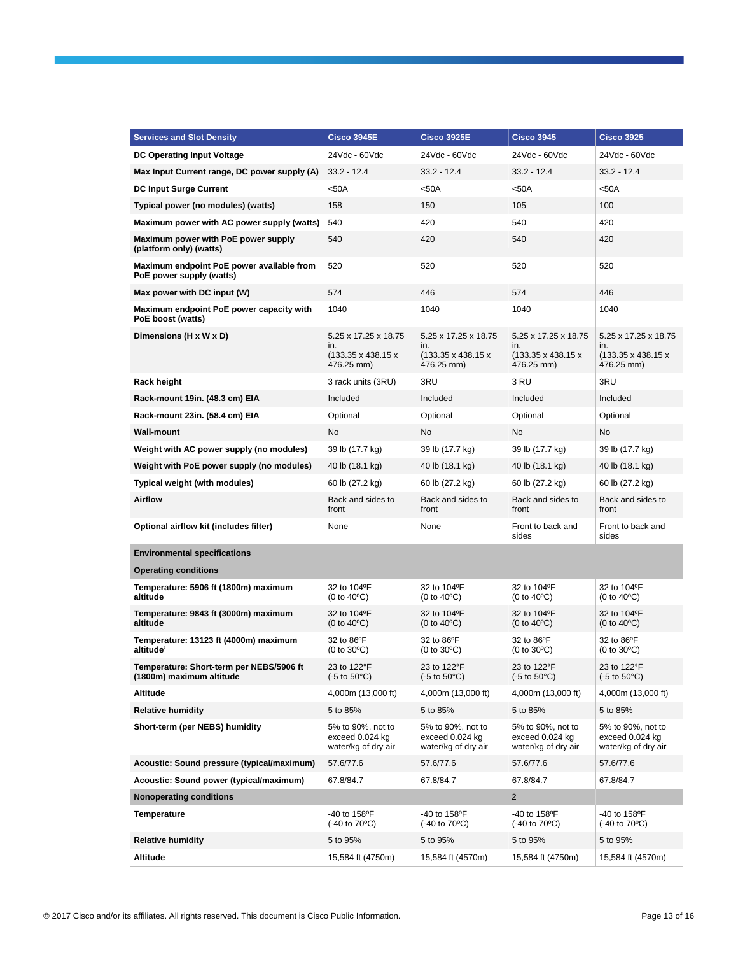| <b>Services and Slot Density</b>                                      | <b>Cisco 3945E</b>                                                          | <b>Cisco 3925E</b>                                                          | <b>Cisco 3945</b>                                                           | <b>Cisco 3925</b>                                               |
|-----------------------------------------------------------------------|-----------------------------------------------------------------------------|-----------------------------------------------------------------------------|-----------------------------------------------------------------------------|-----------------------------------------------------------------|
| <b>DC Operating Input Voltage</b>                                     | 24Vdc - 60Vdc                                                               | 24Vdc - 60Vdc                                                               | 24Vdc - 60Vdc                                                               | 24Vdc - 60Vdc                                                   |
| Max Input Current range, DC power supply (A)                          | $33.2 - 12.4$                                                               | $33.2 - 12.4$                                                               | $33.2 - 12.4$                                                               | 33.2 - 12.4                                                     |
| <b>DC Input Surge Current</b>                                         | $50A$                                                                       | $50A$                                                                       | $50A$                                                                       | $50A$                                                           |
| Typical power (no modules) (watts)                                    | 158                                                                         | 150                                                                         | 105                                                                         | 100                                                             |
| Maximum power with AC power supply (watts)                            | 540                                                                         | 420                                                                         | 540                                                                         | 420                                                             |
| Maximum power with PoE power supply<br>(platform only) (watts)        | 540                                                                         | 420                                                                         | 540                                                                         | 420                                                             |
| Maximum endpoint PoE power available from<br>PoE power supply (watts) | 520                                                                         | 520                                                                         | 520                                                                         | 520                                                             |
| Max power with DC input (W)                                           | 574                                                                         | 446                                                                         | 574                                                                         | 446                                                             |
| Maximum endpoint PoE power capacity with<br>PoE boost (watts)         | 1040                                                                        | 1040                                                                        | 1040                                                                        | 1040                                                            |
| Dimensions (H x W x D)                                                | 5.25 x 17.25 x 18.75<br>in.<br>$(133.35 \times 438.15 \times$<br>476.25 mm) | 5.25 x 17.25 x 18.75<br>in.<br>$(133.35 \times 438.15 \times$<br>476.25 mm) | 5.25 x 17.25 x 18.75<br>in.<br>$(133.35 \times 438.15 \times$<br>476.25 mm) | 5.25 x 17.25 x 18.75<br>in.<br>(133.35 x 438.15 x<br>476.25 mm) |
| Rack height                                                           | 3 rack units (3RU)                                                          | 3RU                                                                         | 3 RU                                                                        | 3RU                                                             |
| Rack-mount 19in. (48.3 cm) EIA                                        | Included                                                                    | Included                                                                    | Included                                                                    | Included                                                        |
| Rack-mount 23in. (58.4 cm) EIA                                        | Optional                                                                    | Optional                                                                    | Optional                                                                    | Optional                                                        |
| <b>Wall-mount</b>                                                     | No                                                                          | No                                                                          | No                                                                          | No                                                              |
| Weight with AC power supply (no modules)                              | 39 lb (17.7 kg)                                                             | 39 lb (17.7 kg)                                                             | 39 lb (17.7 kg)                                                             | 39 lb (17.7 kg)                                                 |
| Weight with PoE power supply (no modules)                             | 40 lb (18.1 kg)                                                             | 40 lb (18.1 kg)                                                             | 40 lb (18.1 kg)                                                             | 40 lb (18.1 kg)                                                 |
| Typical weight (with modules)                                         | 60 lb (27.2 kg)                                                             | 60 lb (27.2 kg)                                                             | 60 lb (27.2 kg)                                                             | 60 lb (27.2 kg)                                                 |
| <b>Airflow</b>                                                        | Back and sides to<br>front                                                  | Back and sides to<br>front                                                  | Back and sides to<br>front                                                  | Back and sides to<br>front                                      |
| Optional airflow kit (includes filter)                                | None                                                                        | None                                                                        | Front to back and<br>sides                                                  | Front to back and<br>sides                                      |
| <b>Environmental specifications</b>                                   |                                                                             |                                                                             |                                                                             |                                                                 |
| <b>Operating conditions</b>                                           |                                                                             |                                                                             |                                                                             |                                                                 |
| Temperature: 5906 ft (1800m) maximum<br>altitude                      | 32 to 104°F<br>(0 to 40°C)                                                  | 32 to 104°F<br>(0 to 40°C)                                                  | 32 to 104°F<br>(0 to 40°C)                                                  | 32 to 104°F<br>(0 to 40°C)                                      |
| Temperature: 9843 ft (3000m) maximum<br>altitude                      | 32 to 104°F<br>(0 to 40°C)                                                  | 32 to 104°F<br>(0 to 40°C)                                                  | 32 to 104°F<br>(0 to 40°C)                                                  | 32 to 104°F<br>(0 to 40°C)                                      |
| Temperature: 13123 ft (4000m) maximum<br>altitude'                    | 32 to 86°F<br>(0 to 30°C)                                                   | 32 to 86°F<br>(0 to 30°C)                                                   | 32 to 86°F<br>(0 to 30°C)                                                   | 32 to 86°F<br>$(0 \text{ to } 30^{\circ}\text{C})$              |
| Temperature: Short-term per NEBS/5906 ft<br>(1800m) maximum altitude  | 23 to 122°F<br>$(-5 \text{ to } 50^{\circ}\text{C})$                        | 23 to 122°F<br>$(-5 \text{ to } 50^{\circ}\text{C})$                        | 23 to 122°F<br>$(-5 \text{ to } 50^{\circ}\text{C})$                        | 23 to 122°F<br>$(-5 \text{ to } 50^{\circ}\text{C})$            |
| Altitude                                                              | 4,000m (13,000 ft)                                                          | 4,000m (13,000 ft)                                                          | 4,000m (13,000 ft)                                                          | 4,000m (13,000 ft)                                              |
| <b>Relative humidity</b>                                              | 5 to 85%                                                                    | 5 to 85%                                                                    | 5 to 85%                                                                    | 5 to 85%                                                        |
| Short-term (per NEBS) humidity                                        | 5% to 90%, not to<br>exceed 0.024 kg<br>water/kg of dry air                 | 5% to 90%, not to<br>exceed 0.024 kg<br>water/kg of dry air                 | 5% to 90%, not to<br>exceed 0.024 kg<br>water/kg of dry air                 | 5% to 90%, not to<br>exceed 0.024 kg<br>water/kg of dry air     |
| Acoustic: Sound pressure (typical/maximum)                            | 57.6/77.6                                                                   | 57.6/77.6                                                                   | 57.6/77.6                                                                   | 57.6/77.6                                                       |
| Acoustic: Sound power (typical/maximum)                               | 67.8/84.7                                                                   | 67.8/84.7                                                                   | 67.8/84.7                                                                   | 67.8/84.7                                                       |
| <b>Nonoperating conditions</b>                                        |                                                                             |                                                                             | $\overline{2}$                                                              |                                                                 |
| <b>Temperature</b>                                                    | -40 to 158°F<br>$(-40 \text{ to } 70^{\circ}\text{C})$                      | -40 to 158°F<br>$(-40 \text{ to } 70^{\circ}\text{C})$                      | -40 to 158°F<br>$(-40 \text{ to } 70^{\circ}\text{C})$                      | -40 to 158°F<br>(-40 to 70 <sup>o</sup> C)                      |
| <b>Relative humidity</b>                                              | 5 to 95%                                                                    | 5 to 95%                                                                    | 5 to 95%                                                                    | 5 to 95%                                                        |
| Altitude                                                              | 15,584 ft (4750m)                                                           | 15,584 ft (4570m)                                                           | 15,584 ft (4750m)                                                           | 15,584 ft (4570m)                                               |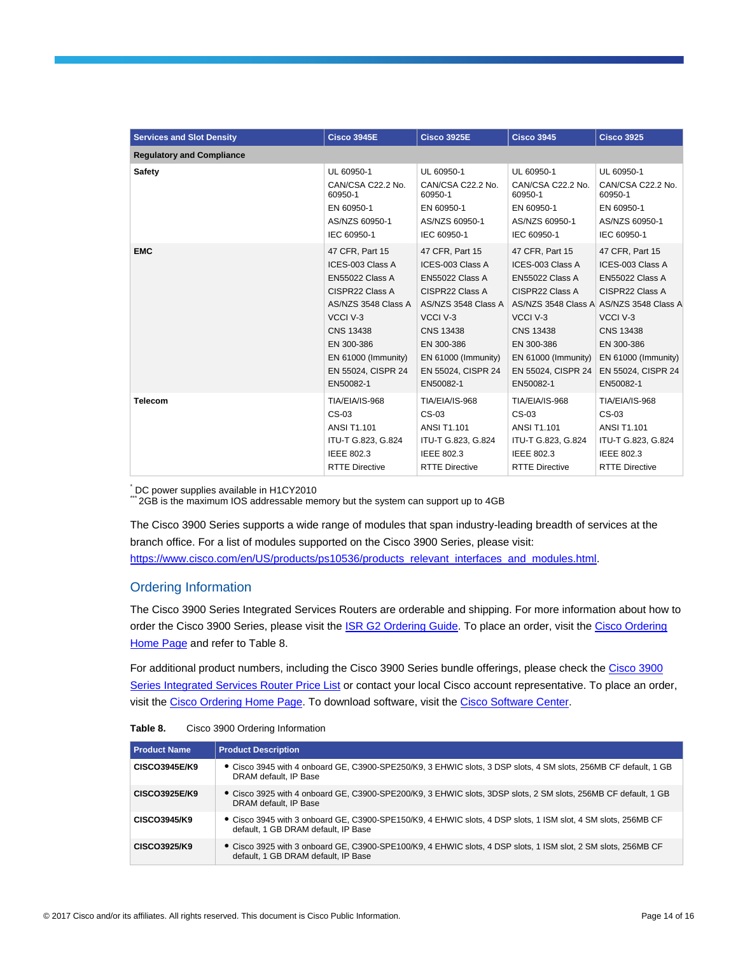| <b>Services and Slot Density</b> | <b>Cisco 3945E</b>    | <b>Cisco 3925E</b>    | <b>Cisco 3945</b>     | <b>Cisco 3925</b>     |
|----------------------------------|-----------------------|-----------------------|-----------------------|-----------------------|
| <b>Requlatory and Compliance</b> |                       |                       |                       |                       |
| Safety                           | UL 60950-1            | UL 60950-1            | UL 60950-1            | UL 60950-1            |
|                                  | CAN/CSA C22.2 No.     | CAN/CSA C22.2 No.     | CAN/CSA C22.2 No.     | CAN/CSA C22.2 No.     |
|                                  | 60950-1               | 60950-1               | 60950-1               | 60950-1               |
|                                  | EN 60950-1            | EN 60950-1            | EN 60950-1            | EN 60950-1            |
|                                  | AS/NZS 60950-1        | AS/NZS 60950-1        | AS/NZS 60950-1        | AS/NZS 60950-1        |
|                                  | IEC 60950-1           | IEC 60950-1           | IEC 60950-1           | IEC 60950-1           |
| <b>EMC</b>                       | 47 CFR, Part 15       | 47 CFR, Part 15       | 47 CFR, Part 15       | 47 CFR, Part 15       |
|                                  | ICES-003 Class A      | ICES-003 Class A      | ICES-003 Class A      | ICES-003 Class A      |
|                                  | EN55022 Class A       | EN55022 Class A       | EN55022 Class A       | EN55022 Class A       |
|                                  | CISPR22 Class A       | CISPR22 Class A       | CISPR22 Class A       | CISPR22 Class A       |
|                                  | AS/NZS 3548 Class A   | AS/NZS 3548 Class A   | AS/NZS 3548 Class A   | AS/NZS 3548 Class A   |
|                                  | VCCI V-3              | VCCI V-3              | VCCI V-3              | VCCI V-3              |
|                                  | <b>CNS 13438</b>      | <b>CNS 13438</b>      | <b>CNS 13438</b>      | <b>CNS 13438</b>      |
|                                  | EN 300-386            | EN 300-386            | EN 300-386            | EN 300-386            |
|                                  | EN 61000 (Immunity)   | $EN 61000$ (Immunity) | EN 61000 (Immunity)   | $EN 61000$ (Immunity) |
|                                  | EN 55024, CISPR 24    | EN 55024, CISPR 24    | EN 55024, CISPR 24    | EN 55024, CISPR 24    |
|                                  | EN50082-1             | EN50082-1             | EN50082-1             | EN50082-1             |
| <b>Telecom</b>                   | TIA/EIA/IS-968        | <b>TIA/EIA/IS-968</b> | <b>TIA/EIA/IS-968</b> | TIA/EIA/IS-968        |
|                                  | CS-03                 | CS-03                 | $CS-03$               | CS-03                 |
|                                  | <b>ANSI T1.101</b>    | <b>ANSI T1.101</b>    | <b>ANSI T1.101</b>    | <b>ANSI T1.101</b>    |
|                                  | ITU-T G.823, G.824    | ITU-T G.823, G.824    | ITU-T G.823, G.824    | ITU-T G.823, G.824    |
|                                  | <b>IEEE 802.3</b>     | IEEE 802.3            | IEEE 802.3            | <b>IEEE 802.3</b>     |
|                                  | <b>RTTE Directive</b> | <b>RTTE Directive</b> | <b>RTTE Directive</b> | <b>RTTE Directive</b> |

\* DC power supplies available in H1CY2010

\*\*\* 2GB is the maximum IOS addressable memory but the system can support up to 4GB

The Cisco 3900 Series supports a wide range of modules that span industry-leading breadth of services at the branch office. For a list of modules supported on the Cisco 3900 Series, please visit: [https://www.cisco.com/en/US/products/ps10536/products\\_relevant\\_interfaces\\_and\\_modules.html.](https://www.cisco.com/en/US/products/ps10536/products_relevant_interfaces_and_modules.html)

## Ordering Information

The Cisco 3900 Series Integrated Services Routers are orderable and shipping. For more information about how to order the Cisco 3900 Series, please visit th[e ISR G2 Ordering Guide.](https://www.cisco.com/en/US/prod/collateral/modules/ps10598/ordering_guide_c07_557736_ps10536_Products_Data_Sheet.html) To place an order, visit th[e Cisco Ordering](https://www.cisco.com/web/ordering/or13/or8/o25/ordering_solutions_category_home.html)  [Home Page](https://www.cisco.com/web/ordering/or13/or8/o25/ordering_solutions_category_home.html) and refer to Table 8.

For additional product numbers, including the Cisco 3900 Series bundle offerings, please check the [Cisco 3900](https://tools.cisco.com/qtc/pricing/MainServlet)  [Series Integrated Services Router Price List](https://tools.cisco.com/qtc/pricing/MainServlet) or contact your local Cisco account representative. To place an order, visit the [Cisco Ordering Home Page.](https://www.cisco.com/en/US/ordering/index.shtml) To download software, visit the [Cisco Software Center.](https://www.cisco.com/public/sw-center/index.shtml)

| Table 8. | Cisco 3900 Ordering Information |  |  |
|----------|---------------------------------|--|--|
|----------|---------------------------------|--|--|

| <b>Product Name</b>  | <b>Product Description</b>                                                                                                                           |
|----------------------|------------------------------------------------------------------------------------------------------------------------------------------------------|
| <b>CISCO3945E/K9</b> | • Cisco 3945 with 4 onboard GE, C3900-SPE250/K9, 3 EHWIC slots, 3 DSP slots, 4 SM slots, 256MB CF default, 1 GB<br>DRAM default, IP Base             |
| CISCO3925E/K9        | • Cisco 3925 with 4 onboard GE, C3900-SPE200/K9, 3 EHWIC slots, 3DSP slots, 2 SM slots, 256MB CF default, 1 GB<br>DRAM default. IP Base              |
| CISCO3945/K9         | • Cisco 3945 with 3 onboard GE, C3900-SPE150/K9, 4 EHWIC slots, 4 DSP slots, 1 ISM slot, 4 SM slots, 256MB CF<br>default. 1 GB DRAM default. IP Base |
| CISCO3925/K9         | • Cisco 3925 with 3 onboard GE, C3900-SPE100/K9, 4 EHWIC slots, 4 DSP slots, 1 ISM slot, 2 SM slots, 256MB CF<br>default, 1 GB DRAM default, IP Base |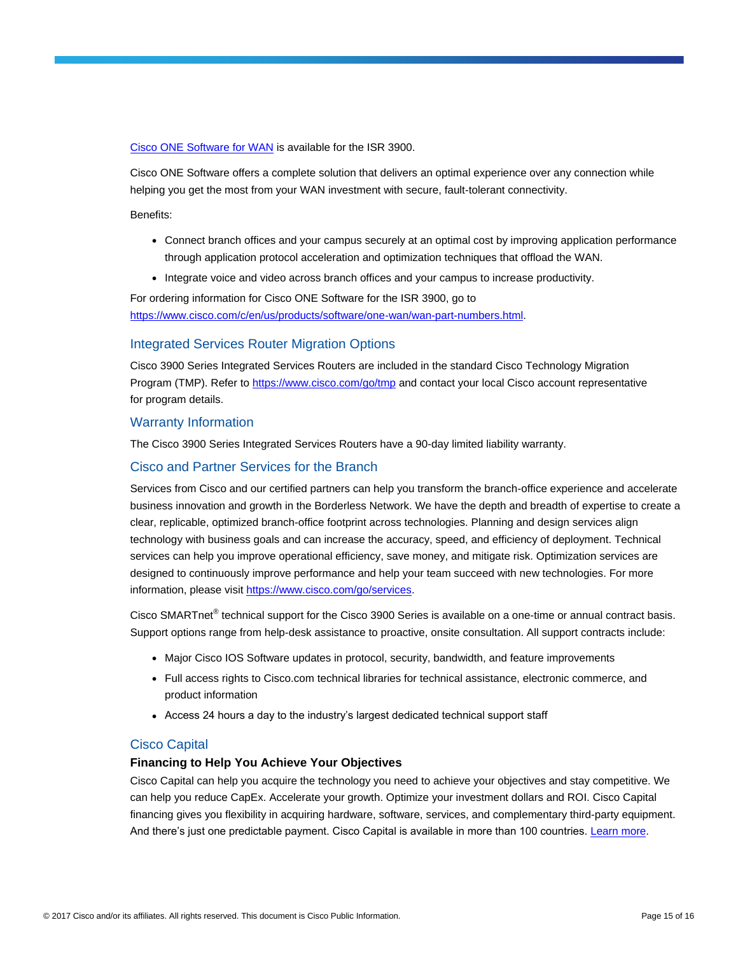[Cisco ONE Software for WAN](https://www.cisco.com/c/en/us/products/collateral/software/one-wan/datasheet-c78-733012.html) is available for the ISR 3900.

Cisco ONE Software offers a complete solution that delivers an optimal experience over any connection while helping you get the most from your WAN investment with secure, fault-tolerant connectivity.

Benefits:

- Connect branch offices and your campus securely at an optimal cost by improving application performance through application protocol acceleration and optimization techniques that offload the WAN.
- Integrate voice and video across branch offices and your campus to increase productivity.

For ordering information for Cisco ONE Software for the ISR 3900, go to [https://www.cisco.com/c/en/us/products/software/one-wan/wan-part-numbers.html.](https://www.cisco.com/c/en/us/products/software/one-wan/wan-part-numbers.html)

#### Integrated Services Router Migration Options

Cisco 3900 Series Integrated Services Routers are included in the standard Cisco Technology Migration Program (TMP). Refer t[o https://www.cisco.com/go/tmp](https://www.cisco.com/go/tmp) and contact your local Cisco account representative for program details.

#### Warranty Information

The Cisco 3900 Series Integrated Services Routers have a 90-day limited liability warranty.

## Cisco and Partner Services for the Branch

Services from Cisco and our certified partners can help you transform the branch-office experience and accelerate business innovation and growth in the Borderless Network. We have the depth and breadth of expertise to create a clear, replicable, optimized branch-office footprint across technologies. Planning and design services align technology with business goals and can increase the accuracy, speed, and efficiency of deployment. Technical services can help you improve operational efficiency, save money, and mitigate risk. Optimization services are designed to continuously improve performance and help your team succeed with new technologies. For more information, please visi[t https://www.cisco.com/go/services.](https://www.cisco.com/go/services)

Cisco SMARTnet<sup>®</sup> technical support for the Cisco 3900 Series is available on a one-time or annual contract basis. Support options range from help-desk assistance to proactive, onsite consultation. All support contracts include:

- Major Cisco IOS Software updates in protocol, security, bandwidth, and feature improvements
- Full access rights to Cisco.com technical libraries for technical assistance, electronic commerce, and product information
- Access 24 hours a day to the industry's largest dedicated technical support staff

#### Cisco Capital

#### **Financing to Help You Achieve Your Objectives**

Cisco Capital can help you acquire the technology you need to achieve your objectives and stay competitive. We can help you reduce CapEx. Accelerate your growth. Optimize your investment dollars and ROI. Cisco Capital financing gives you flexibility in acquiring hardware, software, services, and complementary third-party equipment. And there's just one predictable payment. Cisco Capital is available in more than 100 countries. [Learn more.](https://www.cisco.com/web/ciscocapital/americas/us/index.html)